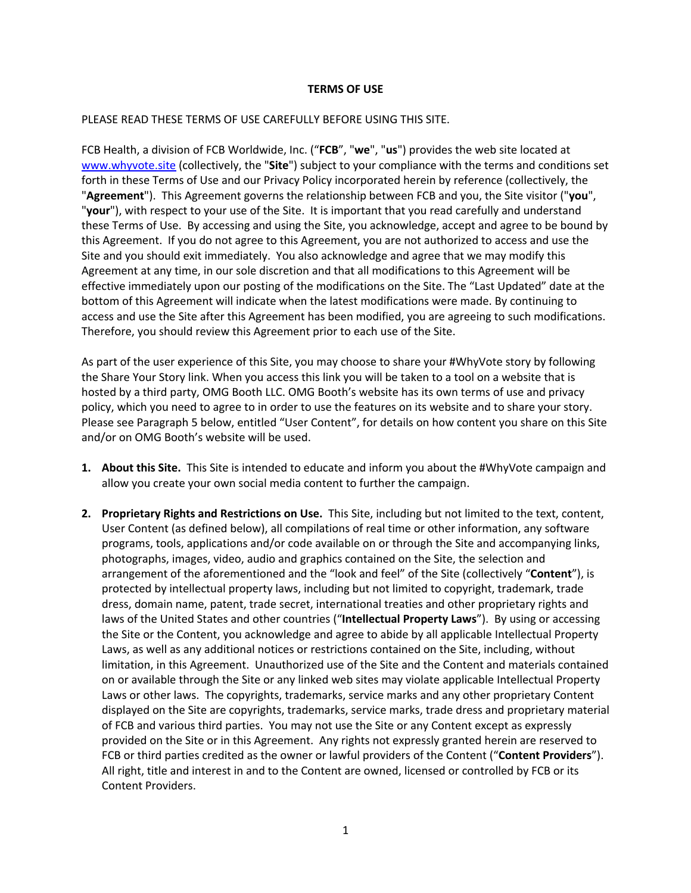## **TERMS OF USE**

## PLEASE READ THESE TERMS OF USE CAREFULLY BEFORE USING THIS SITE.

FCB Health, a division of FCB Worldwide, Inc. ("**FCB**", "**we**", "**us**") provides the web site located at www.whyvote.site (collectively, the "**Site**") subject to your compliance with the terms and conditions set forth in these Terms of Use and our Privacy Policy incorporated herein by reference (collectively, the "**Agreement**"). This Agreement governs the relationship between FCB and you, the Site visitor ("**you**", "**your**"), with respect to your use of the Site. It is important that you read carefully and understand these Terms of Use. By accessing and using the Site, you acknowledge, accept and agree to be bound by this Agreement. If you do not agree to this Agreement, you are not authorized to access and use the Site and you should exit immediately. You also acknowledge and agree that we may modify this Agreement at any time, in our sole discretion and that all modifications to this Agreement will be effective immediately upon our posting of the modifications on the Site. The "Last Updated" date at the bottom of this Agreement will indicate when the latest modifications were made. By continuing to access and use the Site after this Agreement has been modified, you are agreeing to such modifications. Therefore, you should review this Agreement prior to each use of the Site.

As part of the user experience of this Site, you may choose to share your #WhyVote story by following the Share Your Story link. When you access this link you will be taken to a tool on a website that is hosted by a third party, OMG Booth LLC. OMG Booth's website has its own terms of use and privacy policy, which you need to agree to in order to use the features on its website and to share your story. Please see Paragraph 5 below, entitled "User Content", for details on how content you share on this Site and/or on OMG Booth's website will be used.

- **1. About this Site.** This Site is intended to educate and inform you about the #WhyVote campaign and allow you create your own social media content to further the campaign.
- **2. Proprietary Rights and Restrictions on Use.** This Site, including but not limited to the text, content, User Content (as defined below), all compilations of real time or other information, any software programs, tools, applications and/or code available on or through the Site and accompanying links, photographs, images, video, audio and graphics contained on the Site, the selection and arrangement of the aforementioned and the "look and feel" of the Site (collectively "**Content**"), is protected by intellectual property laws, including but not limited to copyright, trademark, trade dress, domain name, patent, trade secret, international treaties and other proprietary rights and laws of the United States and other countries ("**Intellectual Property Laws**"). By using or accessing the Site or the Content, you acknowledge and agree to abide by all applicable Intellectual Property Laws, as well as any additional notices or restrictions contained on the Site, including, without limitation, in this Agreement. Unauthorized use of the Site and the Content and materials contained on or available through the Site or any linked web sites may violate applicable Intellectual Property Laws or other laws. The copyrights, trademarks, service marks and any other proprietary Content displayed on the Site are copyrights, trademarks, service marks, trade dress and proprietary material of FCB and various third parties. You may not use the Site or any Content except as expressly provided on the Site or in this Agreement. Any rights not expressly granted herein are reserved to FCB or third parties credited as the owner or lawful providers of the Content ("**Content Providers**"). All right, title and interest in and to the Content are owned, licensed or controlled by FCB or its Content Providers.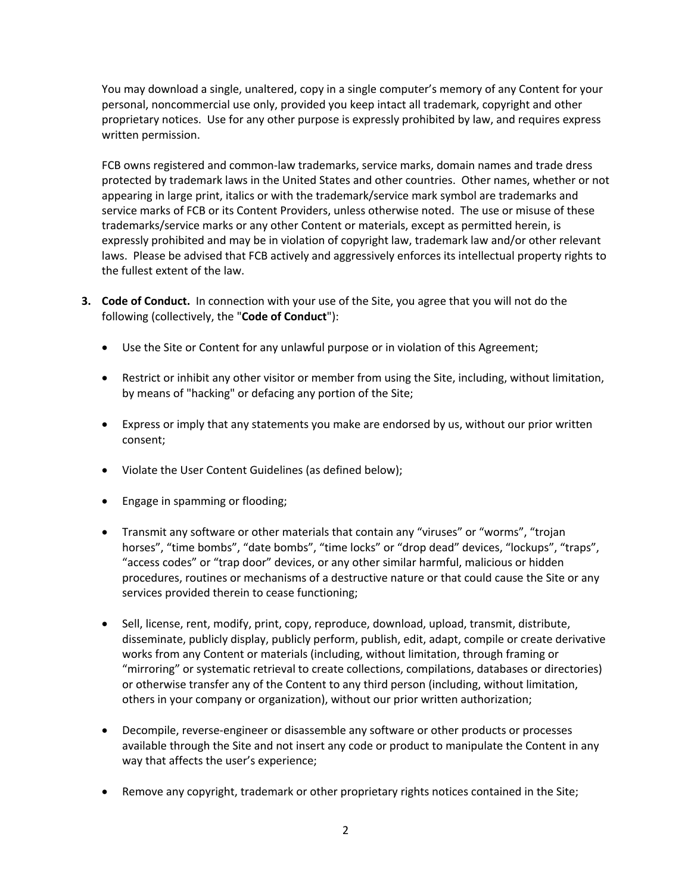You may download a single, unaltered, copy in a single computer's memory of any Content for your personal, noncommercial use only, provided you keep intact all trademark, copyright and other proprietary notices. Use for any other purpose is expressly prohibited by law, and requires express written permission.

FCB owns registered and common-law trademarks, service marks, domain names and trade dress protected by trademark laws in the United States and other countries. Other names, whether or not appearing in large print, italics or with the trademark/service mark symbol are trademarks and service marks of FCB or its Content Providers, unless otherwise noted. The use or misuse of these trademarks/service marks or any other Content or materials, except as permitted herein, is expressly prohibited and may be in violation of copyright law, trademark law and/or other relevant laws. Please be advised that FCB actively and aggressively enforces its intellectual property rights to the fullest extent of the law.

- **3. Code of Conduct.** In connection with your use of the Site, you agree that you will not do the following (collectively, the "**Code of Conduct**"):
	- Use the Site or Content for any unlawful purpose or in violation of this Agreement;
	- Restrict or inhibit any other visitor or member from using the Site, including, without limitation, by means of "hacking" or defacing any portion of the Site;
	- Express or imply that any statements you make are endorsed by us, without our prior written consent;
	- Violate the User Content Guidelines (as defined below);
	- Engage in spamming or flooding;
	- Transmit any software or other materials that contain any "viruses" or "worms", "trojan horses", "time bombs", "date bombs", "time locks" or "drop dead" devices, "lockups", "traps", "access codes" or "trap door" devices, or any other similar harmful, malicious or hidden procedures, routines or mechanisms of a destructive nature or that could cause the Site or any services provided therein to cease functioning;
	- Sell, license, rent, modify, print, copy, reproduce, download, upload, transmit, distribute, disseminate, publicly display, publicly perform, publish, edit, adapt, compile or create derivative works from any Content or materials (including, without limitation, through framing or "mirroring" or systematic retrieval to create collections, compilations, databases or directories) or otherwise transfer any of the Content to any third person (including, without limitation, others in your company or organization), without our prior written authorization;
	- Decompile, reverse-engineer or disassemble any software or other products or processes available through the Site and not insert any code or product to manipulate the Content in any way that affects the user's experience;
	- Remove any copyright, trademark or other proprietary rights notices contained in the Site;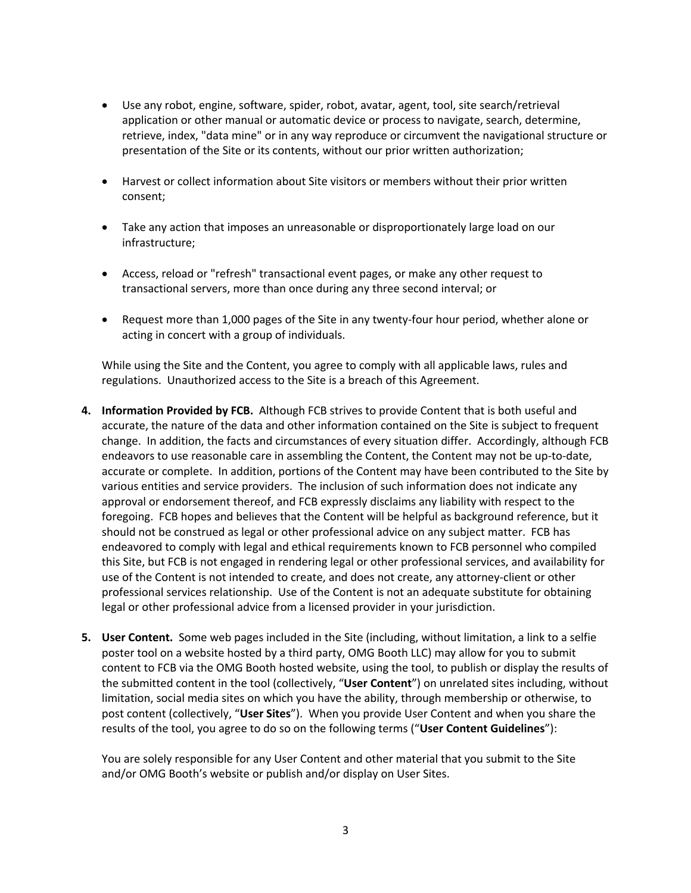- Use any robot, engine, software, spider, robot, avatar, agent, tool, site search/retrieval application or other manual or automatic device or process to navigate, search, determine, retrieve, index, "data mine" or in any way reproduce or circumvent the navigational structure or presentation of the Site or its contents, without our prior written authorization;
- Harvest or collect information about Site visitors or members without their prior written consent;
- Take any action that imposes an unreasonable or disproportionately large load on our infrastructure;
- Access, reload or "refresh" transactional event pages, or make any other request to transactional servers, more than once during any three second interval; or
- Request more than 1,000 pages of the Site in any twenty-four hour period, whether alone or acting in concert with a group of individuals.

While using the Site and the Content, you agree to comply with all applicable laws, rules and regulations. Unauthorized access to the Site is a breach of this Agreement.

- **4. Information Provided by FCB.** Although FCB strives to provide Content that is both useful and accurate, the nature of the data and other information contained on the Site is subject to frequent change. In addition, the facts and circumstances of every situation differ. Accordingly, although FCB endeavors to use reasonable care in assembling the Content, the Content may not be up-to-date, accurate or complete. In addition, portions of the Content may have been contributed to the Site by various entities and service providers. The inclusion of such information does not indicate any approval or endorsement thereof, and FCB expressly disclaims any liability with respect to the foregoing. FCB hopes and believes that the Content will be helpful as background reference, but it should not be construed as legal or other professional advice on any subject matter. FCB has endeavored to comply with legal and ethical requirements known to FCB personnel who compiled this Site, but FCB is not engaged in rendering legal or other professional services, and availability for use of the Content is not intended to create, and does not create, any attorney-client or other professional services relationship. Use of the Content is not an adequate substitute for obtaining legal or other professional advice from a licensed provider in your jurisdiction.
- **5. User Content.** Some web pages included in the Site (including, without limitation, a link to a selfie poster tool on a website hosted by a third party, OMG Booth LLC) may allow for you to submit content to FCB via the OMG Booth hosted website, using the tool, to publish or display the results of the submitted content in the tool (collectively, "**User Content**") on unrelated sites including, without limitation, social media sites on which you have the ability, through membership or otherwise, to post content (collectively, "**User Sites**"). When you provide User Content and when you share the results of the tool, you agree to do so on the following terms ("**User Content Guidelines**"):

You are solely responsible for any User Content and other material that you submit to the Site and/or OMG Booth's website or publish and/or display on User Sites.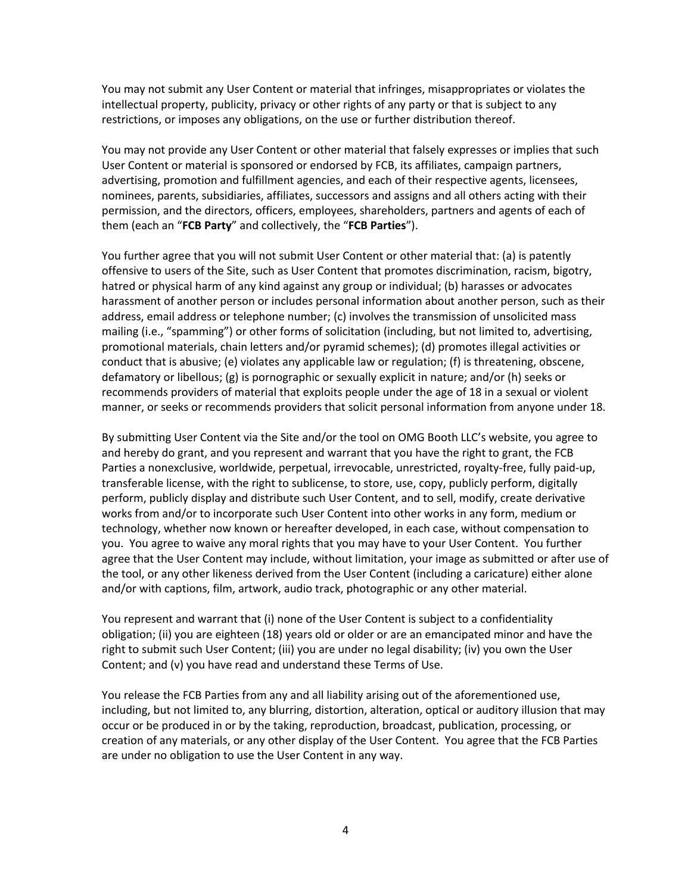You may not submit any User Content or material that infringes, misappropriates or violates the intellectual property, publicity, privacy or other rights of any party or that is subject to any restrictions, or imposes any obligations, on the use or further distribution thereof.

You may not provide any User Content or other material that falsely expresses or implies that such User Content or material is sponsored or endorsed by FCB, its affiliates, campaign partners, advertising, promotion and fulfillment agencies, and each of their respective agents, licensees, nominees, parents, subsidiaries, affiliates, successors and assigns and all others acting with their permission, and the directors, officers, employees, shareholders, partners and agents of each of them (each an "**FCB Party**" and collectively, the "**FCB Parties**").

You further agree that you will not submit User Content or other material that: (a) is patently offensive to users of the Site, such as User Content that promotes discrimination, racism, bigotry, hatred or physical harm of any kind against any group or individual; (b) harasses or advocates harassment of another person or includes personal information about another person, such as their address, email address or telephone number; (c) involves the transmission of unsolicited mass mailing (i.e., "spamming") or other forms of solicitation (including, but not limited to, advertising, promotional materials, chain letters and/or pyramid schemes); (d) promotes illegal activities or conduct that is abusive; (e) violates any applicable law or regulation; (f) is threatening, obscene, defamatory or libellous; (g) is pornographic or sexually explicit in nature; and/or (h) seeks or recommends providers of material that exploits people under the age of 18 in a sexual or violent manner, or seeks or recommends providers that solicit personal information from anyone under 18.

By submitting User Content via the Site and/or the tool on OMG Booth LLC's website, you agree to and hereby do grant, and you represent and warrant that you have the right to grant, the FCB Parties a nonexclusive, worldwide, perpetual, irrevocable, unrestricted, royalty-free, fully paid-up, transferable license, with the right to sublicense, to store, use, copy, publicly perform, digitally perform, publicly display and distribute such User Content, and to sell, modify, create derivative works from and/or to incorporate such User Content into other works in any form, medium or technology, whether now known or hereafter developed, in each case, without compensation to you. You agree to waive any moral rights that you may have to your User Content. You further agree that the User Content may include, without limitation, your image as submitted or after use of the tool, or any other likeness derived from the User Content (including a caricature) either alone and/or with captions, film, artwork, audio track, photographic or any other material.

You represent and warrant that (i) none of the User Content is subject to a confidentiality obligation; (ii) you are eighteen (18) years old or older or are an emancipated minor and have the right to submit such User Content; (iii) you are under no legal disability; (iv) you own the User Content; and (v) you have read and understand these Terms of Use.

You release the FCB Parties from any and all liability arising out of the aforementioned use, including, but not limited to, any blurring, distortion, alteration, optical or auditory illusion that may occur or be produced in or by the taking, reproduction, broadcast, publication, processing, or creation of any materials, or any other display of the User Content. You agree that the FCB Parties are under no obligation to use the User Content in any way.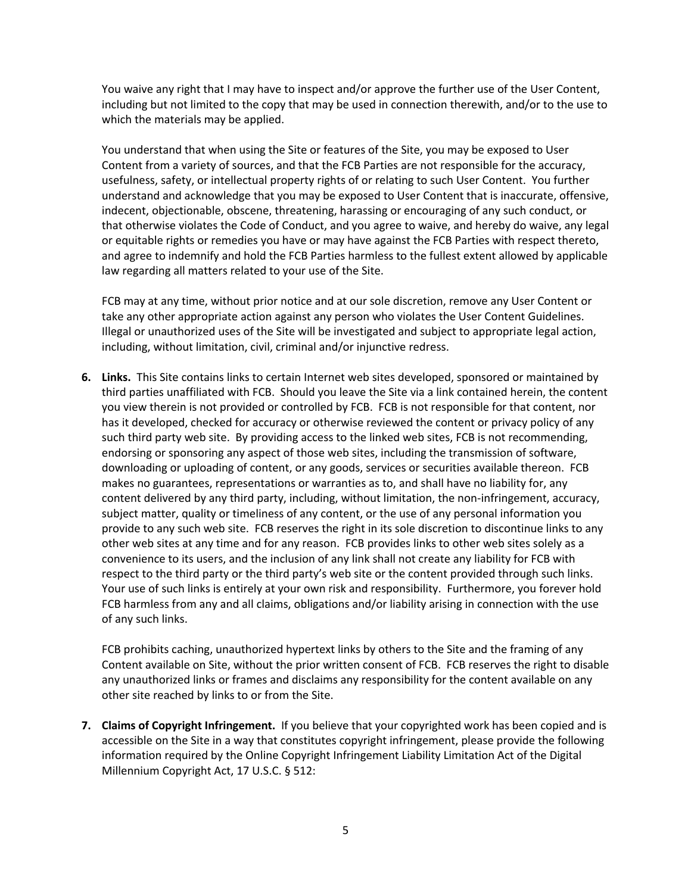You waive any right that I may have to inspect and/or approve the further use of the User Content, including but not limited to the copy that may be used in connection therewith, and/or to the use to which the materials may be applied.

You understand that when using the Site or features of the Site, you may be exposed to User Content from a variety of sources, and that the FCB Parties are not responsible for the accuracy, usefulness, safety, or intellectual property rights of or relating to such User Content. You further understand and acknowledge that you may be exposed to User Content that is inaccurate, offensive, indecent, objectionable, obscene, threatening, harassing or encouraging of any such conduct, or that otherwise violates the Code of Conduct, and you agree to waive, and hereby do waive, any legal or equitable rights or remedies you have or may have against the FCB Parties with respect thereto, and agree to indemnify and hold the FCB Parties harmless to the fullest extent allowed by applicable law regarding all matters related to your use of the Site.

FCB may at any time, without prior notice and at our sole discretion, remove any User Content or take any other appropriate action against any person who violates the User Content Guidelines. Illegal or unauthorized uses of the Site will be investigated and subject to appropriate legal action, including, without limitation, civil, criminal and/or injunctive redress.

**6. Links.** This Site contains links to certain Internet web sites developed, sponsored or maintained by third parties unaffiliated with FCB. Should you leave the Site via a link contained herein, the content you view therein is not provided or controlled by FCB. FCB is not responsible for that content, nor has it developed, checked for accuracy or otherwise reviewed the content or privacy policy of any such third party web site. By providing access to the linked web sites, FCB is not recommending, endorsing or sponsoring any aspect of those web sites, including the transmission of software, downloading or uploading of content, or any goods, services or securities available thereon. FCB makes no guarantees, representations or warranties as to, and shall have no liability for, any content delivered by any third party, including, without limitation, the non-infringement, accuracy, subject matter, quality or timeliness of any content, or the use of any personal information you provide to any such web site. FCB reserves the right in its sole discretion to discontinue links to any other web sites at any time and for any reason. FCB provides links to other web sites solely as a convenience to its users, and the inclusion of any link shall not create any liability for FCB with respect to the third party or the third party's web site or the content provided through such links. Your use of such links is entirely at your own risk and responsibility. Furthermore, you forever hold FCB harmless from any and all claims, obligations and/or liability arising in connection with the use of any such links.

FCB prohibits caching, unauthorized hypertext links by others to the Site and the framing of any Content available on Site, without the prior written consent of FCB. FCB reserves the right to disable any unauthorized links or frames and disclaims any responsibility for the content available on any other site reached by links to or from the Site.

**7. Claims of Copyright Infringement.** If you believe that your copyrighted work has been copied and is accessible on the Site in a way that constitutes copyright infringement, please provide the following information required by the Online Copyright Infringement Liability Limitation Act of the Digital Millennium Copyright Act, 17 U.S.C. § 512: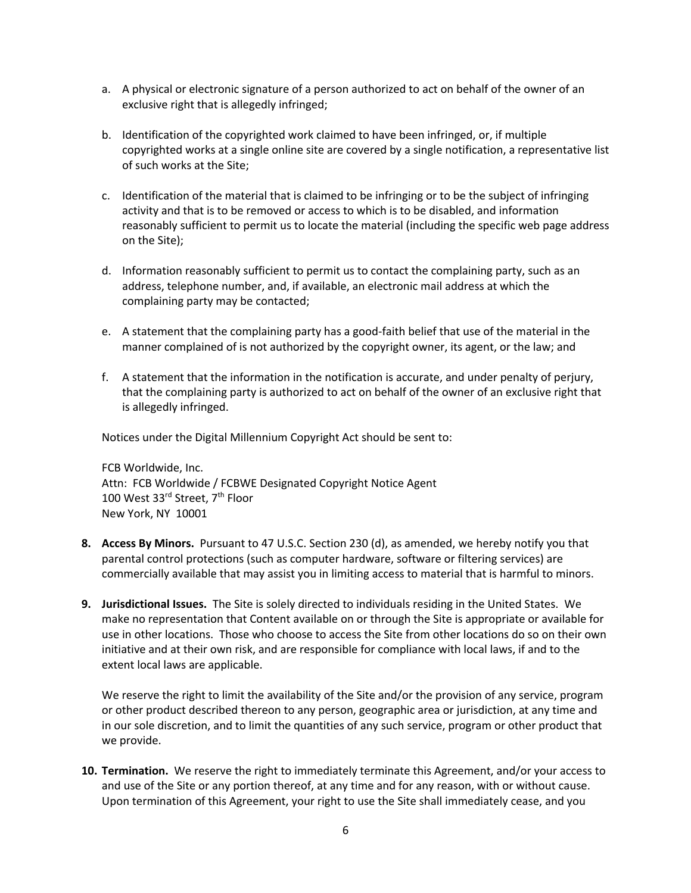- a. A physical or electronic signature of a person authorized to act on behalf of the owner of an exclusive right that is allegedly infringed;
- b. Identification of the copyrighted work claimed to have been infringed, or, if multiple copyrighted works at a single online site are covered by a single notification, a representative list of such works at the Site;
- c. Identification of the material that is claimed to be infringing or to be the subject of infringing activity and that is to be removed or access to which is to be disabled, and information reasonably sufficient to permit us to locate the material (including the specific web page address on the Site);
- d. Information reasonably sufficient to permit us to contact the complaining party, such as an address, telephone number, and, if available, an electronic mail address at which the complaining party may be contacted;
- e. A statement that the complaining party has a good-faith belief that use of the material in the manner complained of is not authorized by the copyright owner, its agent, or the law; and
- f. A statement that the information in the notification is accurate, and under penalty of perjury, that the complaining party is authorized to act on behalf of the owner of an exclusive right that is allegedly infringed.

Notices under the Digital Millennium Copyright Act should be sent to:

FCB Worldwide, Inc. Attn: FCB Worldwide / FCBWE Designated Copyright Notice Agent 100 West 33rd Street, 7<sup>th</sup> Floor New York, NY 10001

- **8. Access By Minors.** Pursuant to 47 U.S.C. Section 230 (d), as amended, we hereby notify you that parental control protections (such as computer hardware, software or filtering services) are commercially available that may assist you in limiting access to material that is harmful to minors.
- **9. Jurisdictional Issues.** The Site is solely directed to individuals residing in the United States. We make no representation that Content available on or through the Site is appropriate or available for use in other locations. Those who choose to access the Site from other locations do so on their own initiative and at their own risk, and are responsible for compliance with local laws, if and to the extent local laws are applicable.

We reserve the right to limit the availability of the Site and/or the provision of any service, program or other product described thereon to any person, geographic area or jurisdiction, at any time and in our sole discretion, and to limit the quantities of any such service, program or other product that we provide.

**10. Termination.** We reserve the right to immediately terminate this Agreement, and/or your access to and use of the Site or any portion thereof, at any time and for any reason, with or without cause. Upon termination of this Agreement, your right to use the Site shall immediately cease, and you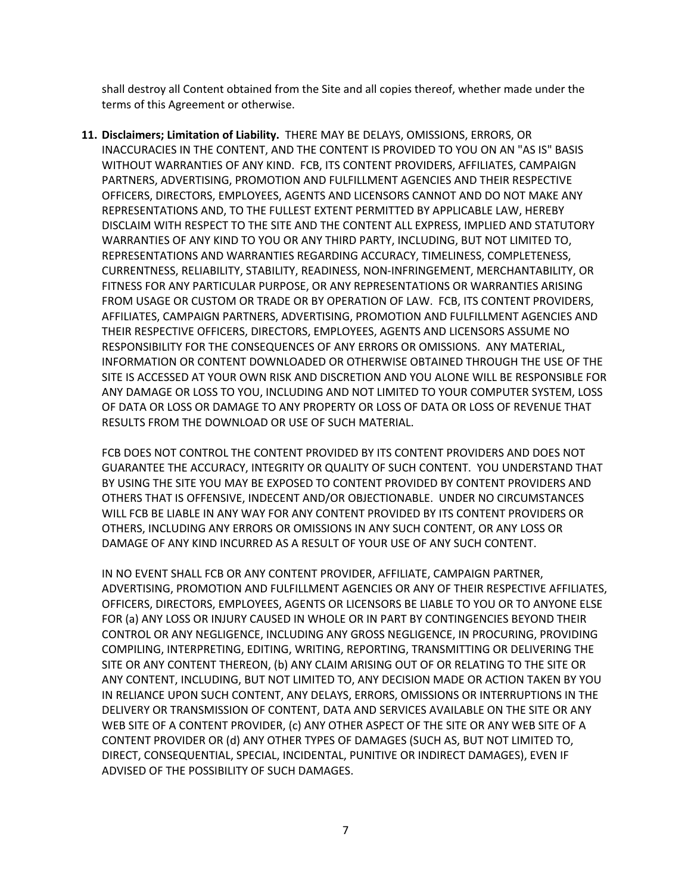shall destroy all Content obtained from the Site and all copies thereof, whether made under the terms of this Agreement or otherwise.

**11. Disclaimers; Limitation of Liability.** THERE MAY BE DELAYS, OMISSIONS, ERRORS, OR INACCURACIES IN THE CONTENT, AND THE CONTENT IS PROVIDED TO YOU ON AN "AS IS" BASIS WITHOUT WARRANTIES OF ANY KIND. FCB, ITS CONTENT PROVIDERS, AFFILIATES, CAMPAIGN PARTNERS, ADVERTISING, PROMOTION AND FULFILLMENT AGENCIES AND THEIR RESPECTIVE OFFICERS, DIRECTORS, EMPLOYEES, AGENTS AND LICENSORS CANNOT AND DO NOT MAKE ANY REPRESENTATIONS AND, TO THE FULLEST EXTENT PERMITTED BY APPLICABLE LAW, HEREBY DISCLAIM WITH RESPECT TO THE SITE AND THE CONTENT ALL EXPRESS, IMPLIED AND STATUTORY WARRANTIES OF ANY KIND TO YOU OR ANY THIRD PARTY, INCLUDING, BUT NOT LIMITED TO, REPRESENTATIONS AND WARRANTIES REGARDING ACCURACY, TIMELINESS, COMPLETENESS, CURRENTNESS, RELIABILITY, STABILITY, READINESS, NON-INFRINGEMENT, MERCHANTABILITY, OR FITNESS FOR ANY PARTICULAR PURPOSE, OR ANY REPRESENTATIONS OR WARRANTIES ARISING FROM USAGE OR CUSTOM OR TRADE OR BY OPERATION OF LAW. FCB, ITS CONTENT PROVIDERS, AFFILIATES, CAMPAIGN PARTNERS, ADVERTISING, PROMOTION AND FULFILLMENT AGENCIES AND THEIR RESPECTIVE OFFICERS, DIRECTORS, EMPLOYEES, AGENTS AND LICENSORS ASSUME NO RESPONSIBILITY FOR THE CONSEQUENCES OF ANY ERRORS OR OMISSIONS. ANY MATERIAL, INFORMATION OR CONTENT DOWNLOADED OR OTHERWISE OBTAINED THROUGH THE USE OF THE SITE IS ACCESSED AT YOUR OWN RISK AND DISCRETION AND YOU ALONE WILL BE RESPONSIBLE FOR ANY DAMAGE OR LOSS TO YOU, INCLUDING AND NOT LIMITED TO YOUR COMPUTER SYSTEM, LOSS OF DATA OR LOSS OR DAMAGE TO ANY PROPERTY OR LOSS OF DATA OR LOSS OF REVENUE THAT RESULTS FROM THE DOWNLOAD OR USE OF SUCH MATERIAL.

FCB DOES NOT CONTROL THE CONTENT PROVIDED BY ITS CONTENT PROVIDERS AND DOES NOT GUARANTEE THE ACCURACY, INTEGRITY OR QUALITY OF SUCH CONTENT. YOU UNDERSTAND THAT BY USING THE SITE YOU MAY BE EXPOSED TO CONTENT PROVIDED BY CONTENT PROVIDERS AND OTHERS THAT IS OFFENSIVE, INDECENT AND/OR OBJECTIONABLE. UNDER NO CIRCUMSTANCES WILL FCB BE LIABLE IN ANY WAY FOR ANY CONTENT PROVIDED BY ITS CONTENT PROVIDERS OR OTHERS, INCLUDING ANY ERRORS OR OMISSIONS IN ANY SUCH CONTENT, OR ANY LOSS OR DAMAGE OF ANY KIND INCURRED AS A RESULT OF YOUR USE OF ANY SUCH CONTENT.

IN NO EVENT SHALL FCB OR ANY CONTENT PROVIDER, AFFILIATE, CAMPAIGN PARTNER, ADVERTISING, PROMOTION AND FULFILLMENT AGENCIES OR ANY OF THEIR RESPECTIVE AFFILIATES, OFFICERS, DIRECTORS, EMPLOYEES, AGENTS OR LICENSORS BE LIABLE TO YOU OR TO ANYONE ELSE FOR (a) ANY LOSS OR INJURY CAUSED IN WHOLE OR IN PART BY CONTINGENCIES BEYOND THEIR CONTROL OR ANY NEGLIGENCE, INCLUDING ANY GROSS NEGLIGENCE, IN PROCURING, PROVIDING COMPILING, INTERPRETING, EDITING, WRITING, REPORTING, TRANSMITTING OR DELIVERING THE SITE OR ANY CONTENT THEREON, (b) ANY CLAIM ARISING OUT OF OR RELATING TO THE SITE OR ANY CONTENT, INCLUDING, BUT NOT LIMITED TO, ANY DECISION MADE OR ACTION TAKEN BY YOU IN RELIANCE UPON SUCH CONTENT, ANY DELAYS, ERRORS, OMISSIONS OR INTERRUPTIONS IN THE DELIVERY OR TRANSMISSION OF CONTENT, DATA AND SERVICES AVAILABLE ON THE SITE OR ANY WEB SITE OF A CONTENT PROVIDER, (c) ANY OTHER ASPECT OF THE SITE OR ANY WEB SITE OF A CONTENT PROVIDER OR (d) ANY OTHER TYPES OF DAMAGES (SUCH AS, BUT NOT LIMITED TO, DIRECT, CONSEQUENTIAL, SPECIAL, INCIDENTAL, PUNITIVE OR INDIRECT DAMAGES), EVEN IF ADVISED OF THE POSSIBILITY OF SUCH DAMAGES.